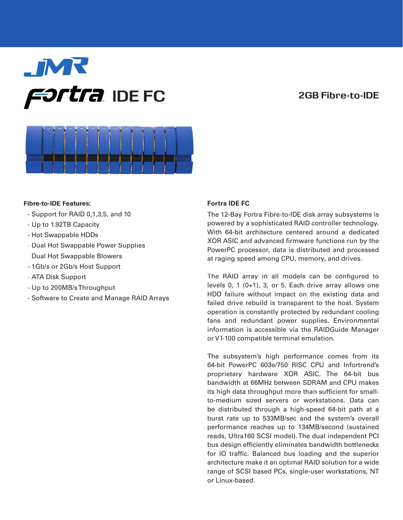# **FORTH IDE FC** 2GB Fibre-to-IDE



# **Fibre-to-IDE Features:**

- Support for RAID 0,1,3,5, and 10
- Up to 1.92TB Capacity
- Hot Swappable HDDs
- Dual Hot Swappable Power Supplies Dual Hot Swappable Blowers
- 1Gb/s or 2Gb/s Host Support
- ATA Disk Support
- Up to 200MB/s Throughput
- Software to Create and Manage RAID Arrays

# **Fortra IDE FC**

The 12-Bay Fortra Fibre-to-IDE disk array subsystems is powered by a sophisticated RAID controller technology. With 64-bit architecture centered around a dedicated XOR ASIC and advanced firmware functions run by the PowerPC processor, data is distributed and processed at raging speed among CPU, memory, and drives.

The RAID array in all models can be configured to levels 0, 1 (0+1), 3, or 5. Each drive array allows one HDD failure without impact on the existing data and failed drive rebuild is transparent to the host. System operation is constantly protected by redundant cooling fans and redundant power supplies. Environmental information is accessible via the RAIDGuide Manager or VT-100 compatible terminal emulation.

The subsystem's high performance comes from its 64-bit PowerPC 603e/750 RISC CPU and Infortrend's proprietary hardware XOR ASIC. The 64-bit bus bandwidth at 66MHz between SDRAM and CPU makes its high data throughput more than sufficient for smallto-medium sized servers or workstations. Data can be distributed through a high-speed 64-bit path at a burst rate up to 533MB/sec and the system's overall performance reaches up to 134MB/second (sustained reads, Ultra160 SCSI model). The dual independent PCI bus design efficiently eliminates bandwidth bottlenecks for IO traffic. Balanced bus loading and the superior architecture make it an optimal RAID solution for a wide range of SCSI based PCs, single-user workstations, NT or Linux-based.